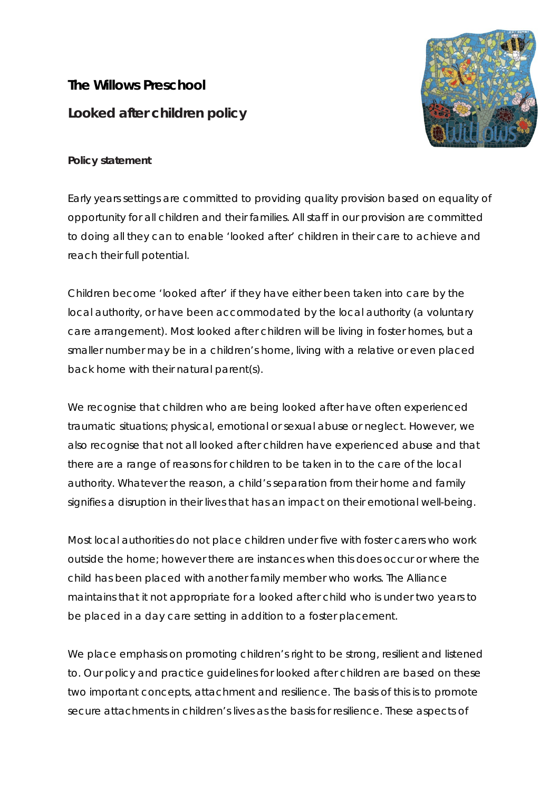# **The Willows Preschool Looked after children policy**



### **Policy statement**

Early years settings are committed to providing quality provision based on equality of opportunity for all children and their families. All staff in our provision are committed to doing all they can to enable 'looked after' children in their care to achieve and reach their full potential.

Children become 'looked after' if they have either been taken into care by the local authority, or have been accommodated by the local authority (a voluntary care arrangement). Most looked after children will be living in foster homes, but a smaller number may be in a children's home, living with a relative or even placed back home with their natural parent(s).

We recognise that children who are being looked after have often experienced traumatic situations; physical, emotional or sexual abuse or neglect. However, we also recognise that not all looked after children have experienced abuse and that there are a range of reasons for children to be taken in to the care of the local authority. Whatever the reason, a child's separation from their home and family signifies a disruption in their lives that has an impact on their emotional well-being.

Most local authorities do not place children under five with foster carers who work outside the home; however there are instances when this does occur or where the child has been placed with another family member who works. The Alliance maintains that it not appropriate for a looked after child who is under two years to be placed in a day care setting in addition to a foster placement.

We place emphasis on promoting *children's right to be strong, resilient and listened to.* Our policy and practice guidelines for looked after children are based on these two important concepts, *attachment and resilience.* The basis of this is to promote secure attachments in children's lives as the basis for resilience. These aspects of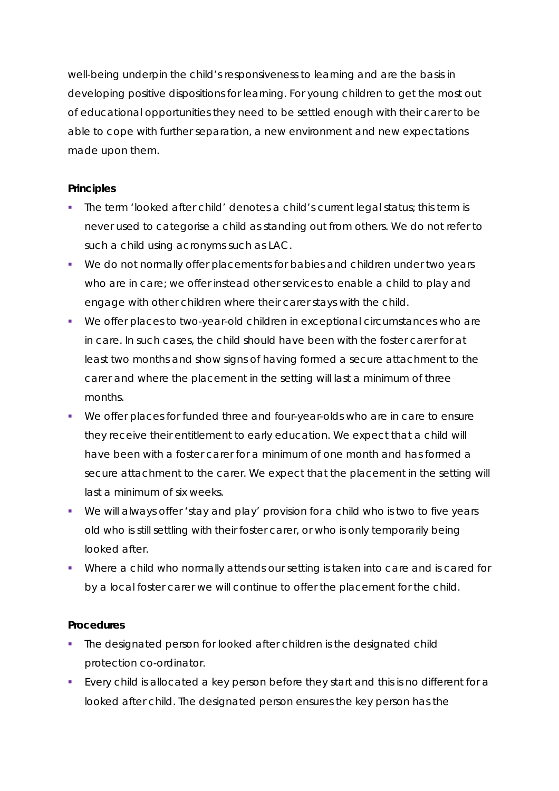well-being underpin the child's responsiveness *to* learning and are the basis in developing positive dispositions *for* learning. For young children to get the most out of educational opportunities they need to be settled enough with their carer to be able to cope with further separation, a new environment and new expectations made upon them.

#### **Principles**

- The term 'looked after child' denotes a child's current legal status; this term is never used to categorise a child as standing out from others. We do not refer to such a child using acronyms such as LAC.
- We do not normally offer placements for babies and children under two years who are in care; we offer instead other services to enable a child to play and engage with other children where their carer stays with the child.
- We offer places to two-year-old children in exceptional circumstances who are in care. In such cases, the child should have been with the foster carer for at least two months and show signs of having formed a secure attachment to the carer and where the placement in the setting will last a minimum of three months.
- We offer places for funded three and four-year-olds who are in care to ensure they receive their entitlement to early education. We expect that a child will have been with a foster carer for a minimum of one month and has formed a secure attachment to the carer. We expect that the placement in the setting will last a minimum of six weeks.
- We will always offer 'stay and play' provision for a child who is two to five years old who is still settling with their foster carer, or who is only temporarily being looked after.
- Where a child who normally attends our setting is taken into care and is cared for by a local foster carer we will continue to offer the placement for the child.

#### **Procedures**

- The designated person for looked after children is the designated child protection co-ordinator.
- Every child is allocated a key person before they start and this is no different for a looked after child. The designated person ensures the key person has the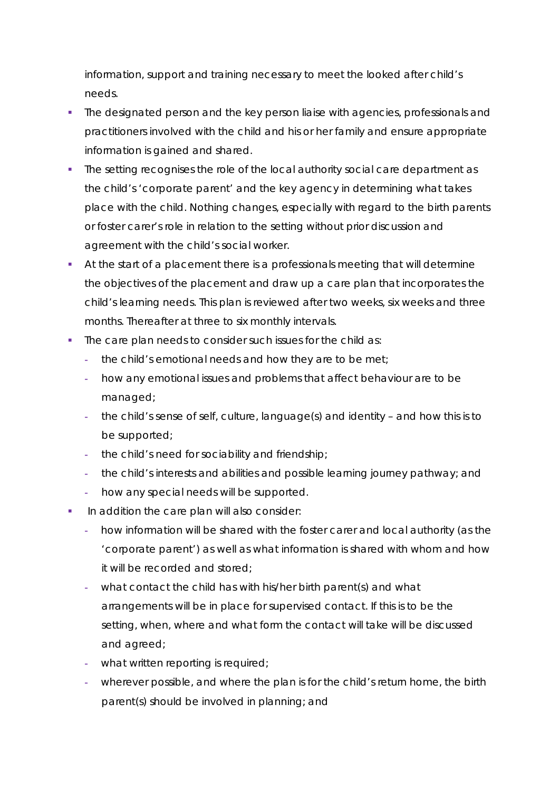information, support and training necessary to meet the looked after child's needs.

- The designated person and the key person liaise with agencies, professionals and practitioners involved with the child and his or her family and ensure appropriate information is gained and shared.
- The setting recognises the role of the local authority social care department as the child's 'corporate parent' and the key agency in determining what takes place with the child. Nothing changes, especially with regard to the birth parents or foster carer's role in relation to the setting without prior discussion and agreement with the child's social worker.
- At the start of a placement there is a professionals meeting that will determine the objectives of the placement and draw up a care plan that incorporates the child's learning needs. This plan is reviewed after two weeks, six weeks and three months. Thereafter at three to six monthly intervals.
- The care plan needs to consider such issues for the child as:
	- **-** the child's emotional needs and how they are to be met;
	- **-** how any emotional issues and problems that affect behaviour are to be managed;
	- **-** the child's sense of self, culture, language(s) and identity and how this is to be supported;
	- **-** the child's need for sociability and friendship;
	- **-** the child's interests and abilities and possible learning journey pathway; and
	- **-** how any special needs will be supported.
- In addition the care plan will also consider:
	- **-** how information will be shared with the foster carer and local authority (as the 'corporate parent') as well as what information is shared with whom and how it will be recorded and stored;
	- **-** what contact the child has with his/her birth parent(s) and what arrangements will be in place for supervised contact. If this is to be the setting, when, where and what form the contact will take will be discussed and agreed;
	- **-** what written reporting is required;
	- **-** wherever possible, and where the plan is for the child's return home, the birth parent(s) should be involved in planning; and